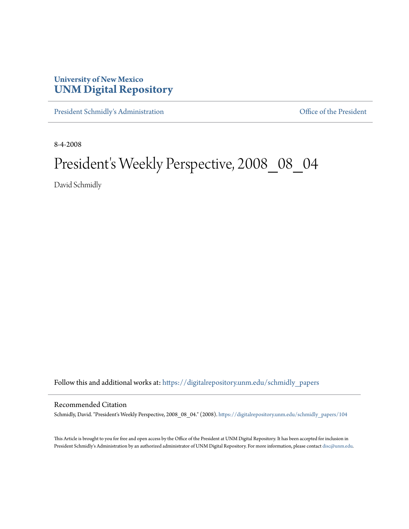## **University of New Mexico [UNM Digital Repository](https://digitalrepository.unm.edu?utm_source=digitalrepository.unm.edu%2Fschmidly_papers%2F104&utm_medium=PDF&utm_campaign=PDFCoverPages)**

[President Schmidly's Administration](https://digitalrepository.unm.edu/schmidly_papers?utm_source=digitalrepository.unm.edu%2Fschmidly_papers%2F104&utm_medium=PDF&utm_campaign=PDFCoverPages) [Office of the President](https://digitalrepository.unm.edu/ofc_president?utm_source=digitalrepository.unm.edu%2Fschmidly_papers%2F104&utm_medium=PDF&utm_campaign=PDFCoverPages)

8-4-2008

## President's Weekly Perspective, 2008\_08\_04

David Schmidly

Follow this and additional works at: [https://digitalrepository.unm.edu/schmidly\\_papers](https://digitalrepository.unm.edu/schmidly_papers?utm_source=digitalrepository.unm.edu%2Fschmidly_papers%2F104&utm_medium=PDF&utm_campaign=PDFCoverPages)

## Recommended Citation

Schmidly, David. "President's Weekly Perspective, 2008\_08\_04." (2008). [https://digitalrepository.unm.edu/schmidly\\_papers/104](https://digitalrepository.unm.edu/schmidly_papers/104?utm_source=digitalrepository.unm.edu%2Fschmidly_papers%2F104&utm_medium=PDF&utm_campaign=PDFCoverPages)

This Article is brought to you for free and open access by the Office of the President at UNM Digital Repository. It has been accepted for inclusion in President Schmidly's Administration by an authorized administrator of UNM Digital Repository. For more information, please contact [disc@unm.edu](mailto:disc@unm.edu).